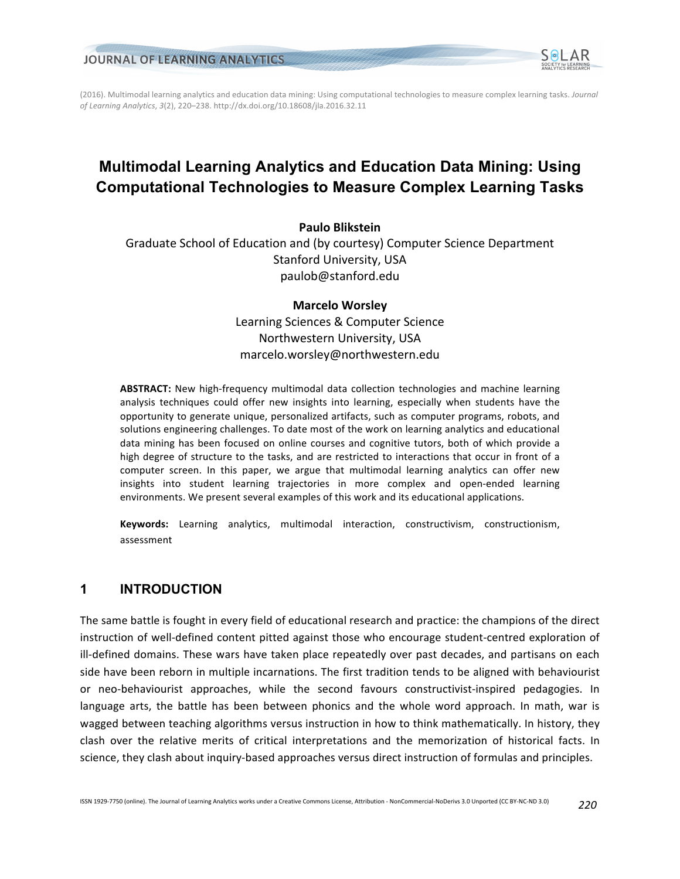



(2016). Multimodal learning analytics and education data mining: Using computational technologies to measure complex learning tasks. *Journal of Learning Analytics*, *3*(2), 220–238. http://dx.doi.org/10.18608/jla.2016.32.11

# **Multimodal Learning Analytics and Education Data Mining: Using Computational Technologies to Measure Complex Learning Tasks**

## **Paulo Blikstein**

Graduate School of Education and (by courtesy) Computer Science Department Stanford University, USA paulob@stanford.edu

> **Marcelo Worsley** Learning Sciences & Computer Science Northwestern University, USA marcelo.worsley@northwestern.edu

**ABSTRACT:** New high-frequency multimodal data collection technologies and machine learning analysis techniques could offer new insights into learning, especially when students have the opportunity to generate unique, personalized artifacts, such as computer programs, robots, and solutions engineering challenges. To date most of the work on learning analytics and educational data mining has been focused on online courses and cognitive tutors, both of which provide a high degree of structure to the tasks, and are restricted to interactions that occur in front of a computer screen. In this paper, we argue that multimodal learning analytics can offer new insights into student learning trajectories in more complex and open-ended learning environments. We present several examples of this work and its educational applications.

**Keywords:** Learning analytics, multimodal interaction, constructivism, constructionism, assessment

## **1 INTRODUCTION**

The same battle is fought in every field of educational research and practice: the champions of the direct instruction of well-defined content pitted against those who encourage student-centred exploration of ill-defined domains. These wars have taken place repeatedly over past decades, and partisans on each side have been reborn in multiple incarnations. The first tradition tends to be aligned with behaviourist or neo-behaviourist approaches, while the second favours constructivist-inspired pedagogies. In language arts, the battle has been between phonics and the whole word approach. In math, war is wagged between teaching algorithms versus instruction in how to think mathematically. In history, they clash over the relative merits of critical interpretations and the memorization of historical facts. In science, they clash about inquiry-based approaches versus direct instruction of formulas and principles.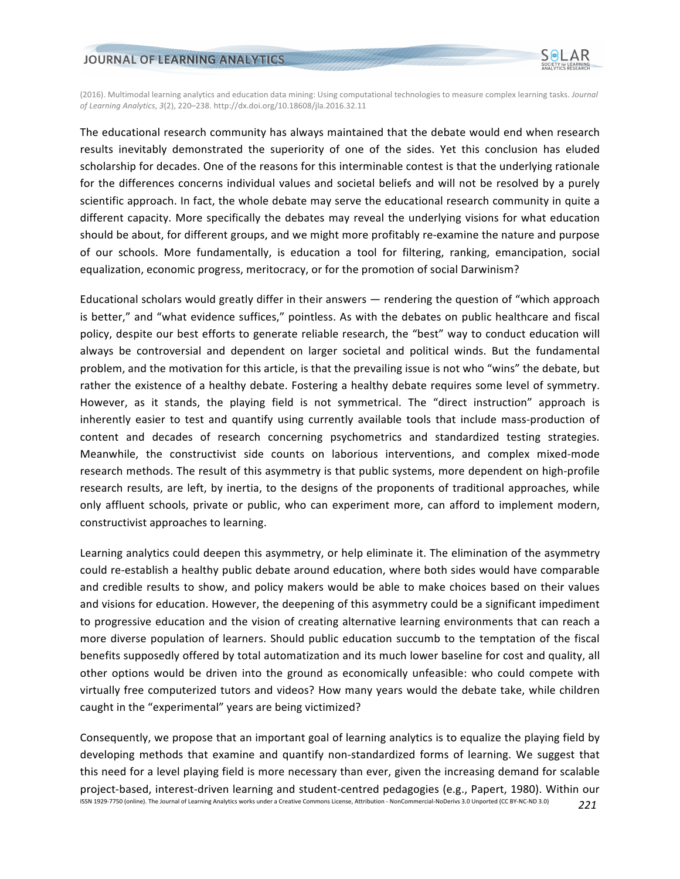

(2016). Multimodal learning analytics and education data mining: Using computational technologies to measure complex learning tasks. *Journal of Learning Analytics*, *3*(2), 220–238. http://dx.doi.org/10.18608/jla.2016.32.11

The educational research community has always maintained that the debate would end when research results inevitably demonstrated the superiority of one of the sides. Yet this conclusion has eluded scholarship for decades. One of the reasons for this interminable contest is that the underlying rationale for the differences concerns individual values and societal beliefs and will not be resolved by a purely scientific approach. In fact, the whole debate may serve the educational research community in quite a different capacity. More specifically the debates may reveal the underlying visions for what education should be about, for different groups, and we might more profitably re-examine the nature and purpose of our schools. More fundamentally, is education a tool for filtering, ranking, emancipation, social equalization, economic progress, meritocracy, or for the promotion of social Darwinism?

Educational scholars would greatly differ in their answers  $-$  rendering the question of "which approach" is better," and "what evidence suffices," pointless. As with the debates on public healthcare and fiscal policy, despite our best efforts to generate reliable research, the "best" way to conduct education will always be controversial and dependent on larger societal and political winds. But the fundamental problem, and the motivation for this article, is that the prevailing issue is not who "wins" the debate, but rather the existence of a healthy debate. Fostering a healthy debate requires some level of symmetry. However, as it stands, the playing field is not symmetrical. The "direct instruction" approach is inherently easier to test and quantify using currently available tools that include mass-production of content and decades of research concerning psychometrics and standardized testing strategies. Meanwhile, the constructivist side counts on laborious interventions, and complex mixed-mode research methods. The result of this asymmetry is that public systems, more dependent on high-profile research results, are left, by inertia, to the designs of the proponents of traditional approaches, while only affluent schools, private or public, who can experiment more, can afford to implement modern, constructivist approaches to learning.

Learning analytics could deepen this asymmetry, or help eliminate it. The elimination of the asymmetry could re-establish a healthy public debate around education, where both sides would have comparable and credible results to show, and policy makers would be able to make choices based on their values and visions for education. However, the deepening of this asymmetry could be a significant impediment to progressive education and the vision of creating alternative learning environments that can reach a more diverse population of learners. Should public education succumb to the temptation of the fiscal benefits supposedly offered by total automatization and its much lower baseline for cost and quality, all other options would be driven into the ground as economically unfeasible: who could compete with virtually free computerized tutors and videos? How many years would the debate take, while children caught in the "experimental" years are being victimized?

ISSN 1929-7750 (online). The Journal of Learning Analytics works under a Creative Commons License, Attribution - NonCommercial-NoDerivs 3.0 Unported (CC BY-NC-ND 3.0) *221* Consequently, we propose that an important goal of learning analytics is to equalize the playing field by developing methods that examine and quantify non-standardized forms of learning. We suggest that this need for a level playing field is more necessary than ever, given the increasing demand for scalable project-based, interest-driven learning and student-centred pedagogies (e.g., Papert, 1980). Within our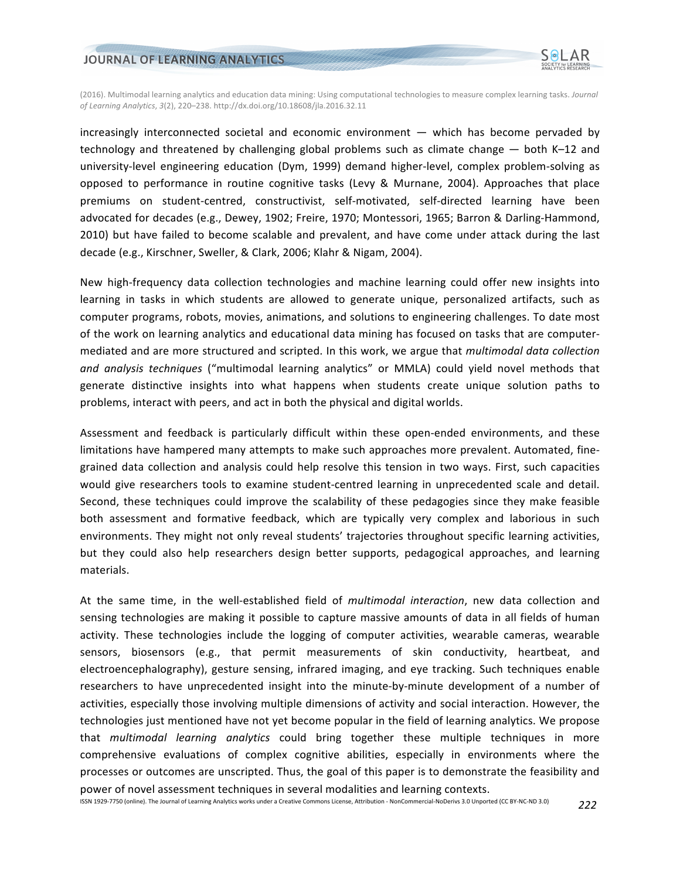

(2016). Multimodal learning analytics and education data mining: Using computational technologies to measure complex learning tasks. *Journal of Learning Analytics*, *3*(2), 220–238. http://dx.doi.org/10.18608/jla.2016.32.11

increasingly interconnected societal and economic environment  $-$  which has become pervaded by technology and threatened by challenging global problems such as climate change  $-$  both K–12 and university-level engineering education (Dym, 1999) demand higher-level, complex problem-solving as opposed to performance in routine cognitive tasks (Levy & Murnane, 2004). Approaches that place premiums on student-centred, constructivist, self-motivated, self-directed learning have been advocated for decades (e.g., Dewey, 1902; Freire, 1970; Montessori, 1965; Barron & Darling-Hammond, 2010) but have failed to become scalable and prevalent, and have come under attack during the last decade (e.g., Kirschner, Sweller, & Clark, 2006; Klahr & Nigam, 2004).

New high-frequency data collection technologies and machine learning could offer new insights into learning in tasks in which students are allowed to generate unique, personalized artifacts, such as computer programs, robots, movies, animations, and solutions to engineering challenges. To date most of the work on learning analytics and educational data mining has focused on tasks that are computermediated and are more structured and scripted. In this work, we argue that *multimodal data collection* and analysis techniques ("multimodal learning analytics" or MMLA) could yield novel methods that generate distinctive insights into what happens when students create unique solution paths to problems, interact with peers, and act in both the physical and digital worlds.

Assessment and feedback is particularly difficult within these open-ended environments, and these limitations have hampered many attempts to make such approaches more prevalent. Automated, finegrained data collection and analysis could help resolve this tension in two ways. First, such capacities would give researchers tools to examine student-centred learning in unprecedented scale and detail. Second, these techniques could improve the scalability of these pedagogies since they make feasible both assessment and formative feedback, which are typically very complex and laborious in such environments. They might not only reveal students' trajectories throughout specific learning activities, but they could also help researchers design better supports, pedagogical approaches, and learning materials.

At the same time, in the well-established field of *multimodal interaction*, new data collection and sensing technologies are making it possible to capture massive amounts of data in all fields of human activity. These technologies include the logging of computer activities, wearable cameras, wearable sensors, biosensors (e.g., that permit measurements of skin conductivity, heartbeat, and electroencephalography), gesture sensing, infrared imaging, and eye tracking. Such techniques enable researchers to have unprecedented insight into the minute-by-minute development of a number of activities, especially those involving multiple dimensions of activity and social interaction. However, the technologies just mentioned have not yet become popular in the field of learning analytics. We propose that *multimodal learning analytics* could bring together these multiple techniques in more comprehensive evaluations of complex cognitive abilities, especially in environments where the processes or outcomes are unscripted. Thus, the goal of this paper is to demonstrate the feasibility and power of novel assessment techniques in several modalities and learning contexts.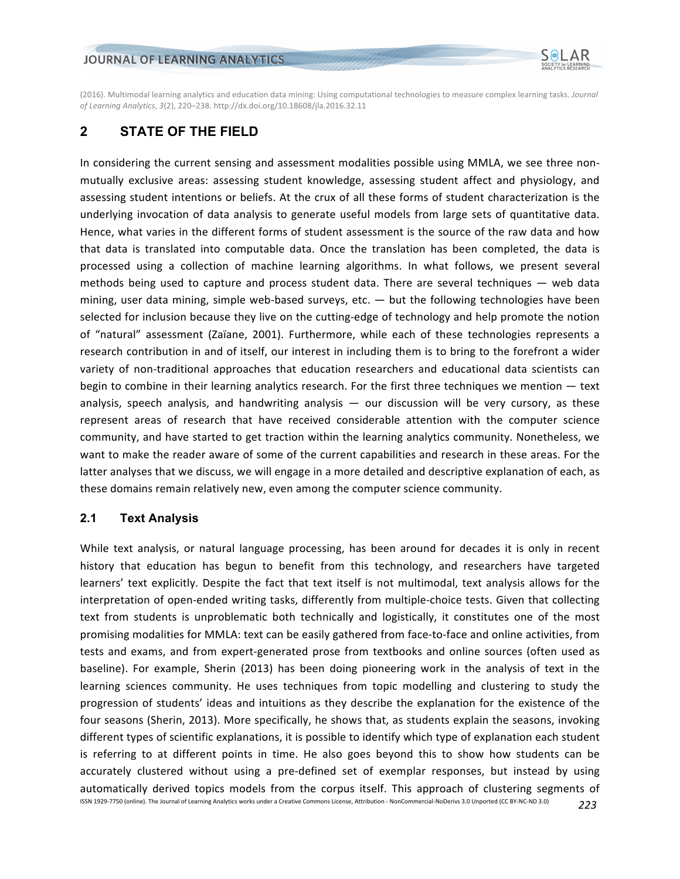

(2016). Multimodal learning analytics and education data mining: Using computational technologies to measure complex learning tasks. *Journal of Learning Analytics*, *3*(2), 220–238. http://dx.doi.org/10.18608/jla.2016.32.11

## **2 STATE OF THE FIELD**

In considering the current sensing and assessment modalities possible using MMLA, we see three nonmutually exclusive areas: assessing student knowledge, assessing student affect and physiology, and assessing student intentions or beliefs. At the crux of all these forms of student characterization is the underlying invocation of data analysis to generate useful models from large sets of quantitative data. Hence, what varies in the different forms of student assessment is the source of the raw data and how that data is translated into computable data. Once the translation has been completed, the data is processed using a collection of machine learning algorithms. In what follows, we present several methods being used to capture and process student data. There are several techniques  $-$  web data mining, user data mining, simple web-based surveys, etc.  $-$  but the following technologies have been selected for inclusion because they live on the cutting-edge of technology and help promote the notion of "natural" assessment (Zaïane, 2001). Furthermore, while each of these technologies represents a research contribution in and of itself, our interest in including them is to bring to the forefront a wider variety of non-traditional approaches that education researchers and educational data scientists can begin to combine in their learning analytics research. For the first three techniques we mention  $-$  text analysis, speech analysis, and handwriting analysis  $-$  our discussion will be very cursory, as these represent areas of research that have received considerable attention with the computer science community, and have started to get traction within the learning analytics community. Nonetheless, we want to make the reader aware of some of the current capabilities and research in these areas. For the latter analyses that we discuss, we will engage in a more detailed and descriptive explanation of each, as these domains remain relatively new, even among the computer science community.

## **2.1 Text Analysis**

ISSN 1929-7750 (online). The Journal of Learning Analytics works under a Creative Commons License, Attribution - NonCommercial-NoDerivs 3.0 Unported (CC BY-NC-ND 3.0) *223* While text analysis, or natural language processing, has been around for decades it is only in recent history that education has begun to benefit from this technology, and researchers have targeted learners' text explicitly. Despite the fact that text itself is not multimodal, text analysis allows for the interpretation of open-ended writing tasks, differently from multiple-choice tests. Given that collecting text from students is unproblematic both technically and logistically, it constitutes one of the most promising modalities for MMLA: text can be easily gathered from face-to-face and online activities, from tests and exams, and from expert-generated prose from textbooks and online sources (often used as baseline). For example, Sherin (2013) has been doing pioneering work in the analysis of text in the learning sciences community. He uses techniques from topic modelling and clustering to study the progression of students' ideas and intuitions as they describe the explanation for the existence of the four seasons (Sherin, 2013). More specifically, he shows that, as students explain the seasons, invoking different types of scientific explanations, it is possible to identify which type of explanation each student is referring to at different points in time. He also goes beyond this to show how students can be accurately clustered without using a pre-defined set of exemplar responses, but instead by using automatically derived topics models from the corpus itself. This approach of clustering segments of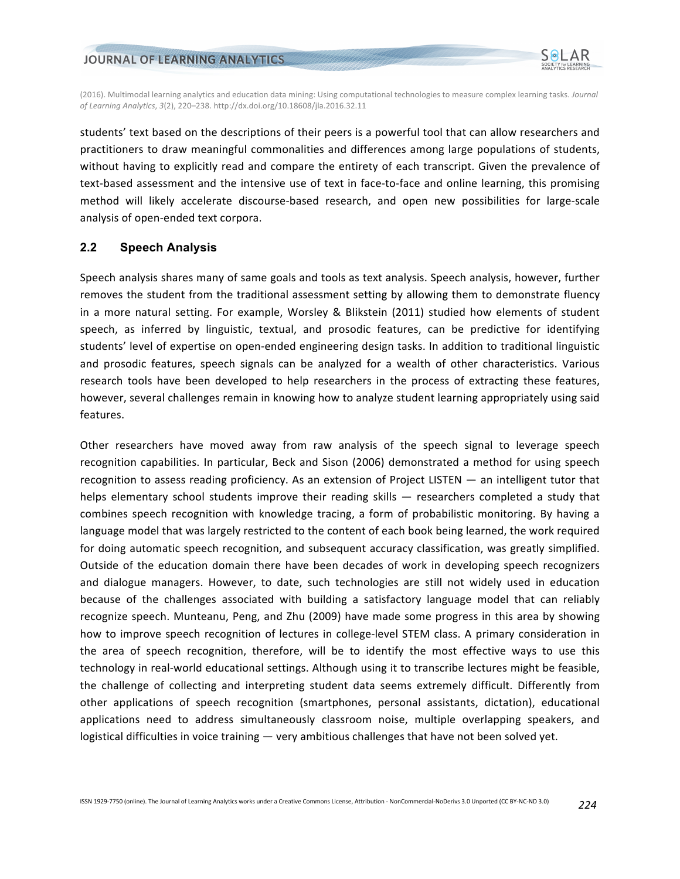

students' text based on the descriptions of their peers is a powerful tool that can allow researchers and practitioners to draw meaningful commonalities and differences among large populations of students, without having to explicitly read and compare the entirety of each transcript. Given the prevalence of text-based assessment and the intensive use of text in face-to-face and online learning, this promising method will likely accelerate discourse-based research, and open new possibilities for large-scale analysis of open-ended text corpora.

#### **2.2 Speech Analysis**

Speech analysis shares many of same goals and tools as text analysis. Speech analysis, however, further removes the student from the traditional assessment setting by allowing them to demonstrate fluency in a more natural setting. For example, Worsley & Blikstein (2011) studied how elements of student speech, as inferred by linguistic, textual, and prosodic features, can be predictive for identifying students' level of expertise on open-ended engineering design tasks. In addition to traditional linguistic and prosodic features, speech signals can be analyzed for a wealth of other characteristics. Various research tools have been developed to help researchers in the process of extracting these features, however, several challenges remain in knowing how to analyze student learning appropriately using said features.

Other researchers have moved away from raw analysis of the speech signal to leverage speech recognition capabilities. In particular, Beck and Sison (2006) demonstrated a method for using speech recognition to assess reading proficiency. As an extension of Project LISTEN  $-$  an intelligent tutor that helps elementary school students improve their reading skills  $-$  researchers completed a study that combines speech recognition with knowledge tracing, a form of probabilistic monitoring. By having a language model that was largely restricted to the content of each book being learned, the work required for doing automatic speech recognition, and subsequent accuracy classification, was greatly simplified. Outside of the education domain there have been decades of work in developing speech recognizers and dialogue managers. However, to date, such technologies are still not widely used in education because of the challenges associated with building a satisfactory language model that can reliably recognize speech. Munteanu, Peng, and Zhu (2009) have made some progress in this area by showing how to improve speech recognition of lectures in college-level STEM class. A primary consideration in the area of speech recognition, therefore, will be to identify the most effective ways to use this technology in real-world educational settings. Although using it to transcribe lectures might be feasible, the challenge of collecting and interpreting student data seems extremely difficult. Differently from other applications of speech recognition (smartphones, personal assistants, dictation), educational applications need to address simultaneously classroom noise, multiple overlapping speakers, and logistical difficulties in voice training — very ambitious challenges that have not been solved yet.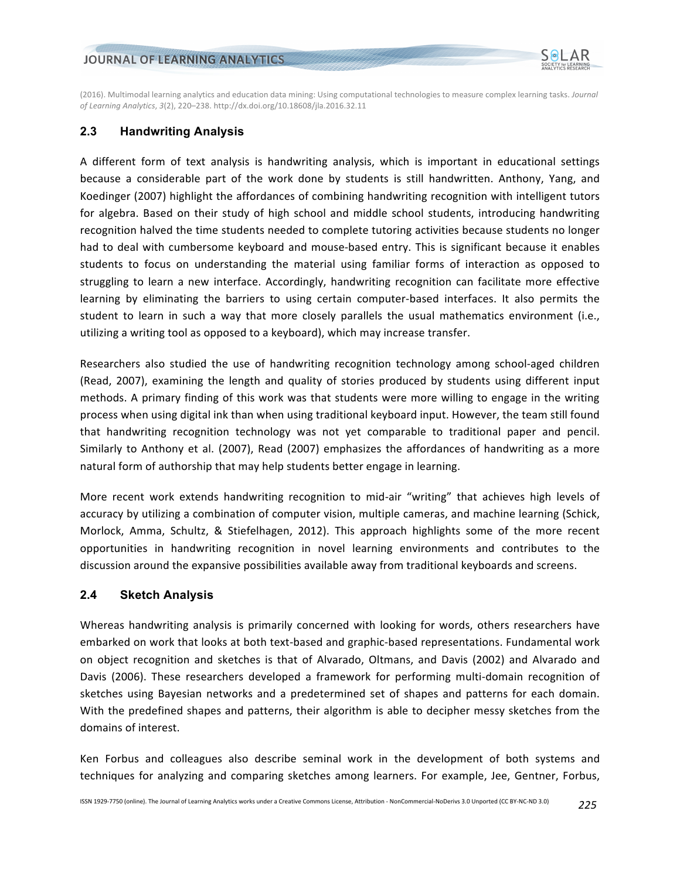

(2016). Multimodal learning analytics and education data mining: Using computational technologies to measure complex learning tasks. *Journal of Learning Analytics*, *3*(2), 220–238. http://dx.doi.org/10.18608/jla.2016.32.11

## **2.3 Handwriting Analysis**

A different form of text analysis is handwriting analysis, which is important in educational settings because a considerable part of the work done by students is still handwritten. Anthony, Yang, and Koedinger (2007) highlight the affordances of combining handwriting recognition with intelligent tutors for algebra. Based on their study of high school and middle school students, introducing handwriting recognition halved the time students needed to complete tutoring activities because students no longer had to deal with cumbersome keyboard and mouse-based entry. This is significant because it enables students to focus on understanding the material using familiar forms of interaction as opposed to struggling to learn a new interface. Accordingly, handwriting recognition can facilitate more effective learning by eliminating the barriers to using certain computer-based interfaces. It also permits the student to learn in such a way that more closely parallels the usual mathematics environment (i.e., utilizing a writing tool as opposed to a keyboard), which may increase transfer.

Researchers also studied the use of handwriting recognition technology among school-aged children (Read, 2007), examining the length and quality of stories produced by students using different input methods. A primary finding of this work was that students were more willing to engage in the writing process when using digital ink than when using traditional keyboard input. However, the team still found that handwriting recognition technology was not yet comparable to traditional paper and pencil. Similarly to Anthony et al. (2007), Read (2007) emphasizes the affordances of handwriting as a more natural form of authorship that may help students better engage in learning.

More recent work extends handwriting recognition to mid-air "writing" that achieves high levels of accuracy by utilizing a combination of computer vision, multiple cameras, and machine learning (Schick, Morlock, Amma, Schultz, & Stiefelhagen, 2012). This approach highlights some of the more recent opportunities in handwriting recognition in novel learning environments and contributes to the discussion around the expansive possibilities available away from traditional keyboards and screens.

#### **2.4 Sketch Analysis**

Whereas handwriting analysis is primarily concerned with looking for words, others researchers have embarked on work that looks at both text-based and graphic-based representations. Fundamental work on object recognition and sketches is that of Alvarado, Oltmans, and Davis (2002) and Alvarado and Davis (2006). These researchers developed a framework for performing multi-domain recognition of sketches using Bayesian networks and a predetermined set of shapes and patterns for each domain. With the predefined shapes and patterns, their algorithm is able to decipher messy sketches from the domains of interest.

Ken Forbus and colleagues also describe seminal work in the development of both systems and techniques for analyzing and comparing sketches among learners. For example, Jee, Gentner, Forbus,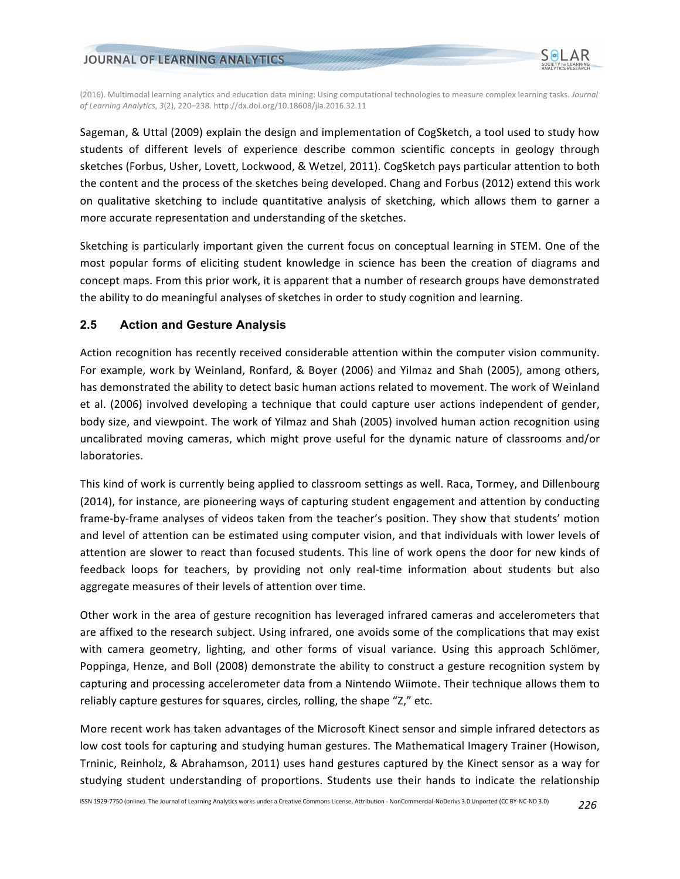

(2016). Multimodal learning analytics and education data mining: Using computational technologies to measure complex learning tasks. *Journal of Learning Analytics*, *3*(2), 220–238. http://dx.doi.org/10.18608/jla.2016.32.11

Sageman, & Uttal (2009) explain the design and implementation of CogSketch, a tool used to study how students of different levels of experience describe common scientific concepts in geology through sketches (Forbus, Usher, Lovett, Lockwood, & Wetzel, 2011). CogSketch pays particular attention to both the content and the process of the sketches being developed. Chang and Forbus (2012) extend this work on qualitative sketching to include quantitative analysis of sketching, which allows them to garner a more accurate representation and understanding of the sketches.

Sketching is particularly important given the current focus on conceptual learning in STEM. One of the most popular forms of eliciting student knowledge in science has been the creation of diagrams and concept maps. From this prior work, it is apparent that a number of research groups have demonstrated the ability to do meaningful analyses of sketches in order to study cognition and learning.

#### **2.5 Action and Gesture Analysis**

Action recognition has recently received considerable attention within the computer vision community. For example, work by Weinland, Ronfard, & Boyer (2006) and Yilmaz and Shah (2005), among others, has demonstrated the ability to detect basic human actions related to movement. The work of Weinland et al. (2006) involved developing a technique that could capture user actions independent of gender, body size, and viewpoint. The work of Yilmaz and Shah (2005) involved human action recognition using uncalibrated moving cameras, which might prove useful for the dynamic nature of classrooms and/or laboratories.

This kind of work is currently being applied to classroom settings as well. Raca, Tormey, and Dillenbourg (2014), for instance, are pioneering ways of capturing student engagement and attention by conducting frame-by-frame analyses of videos taken from the teacher's position. They show that students' motion and level of attention can be estimated using computer vision, and that individuals with lower levels of attention are slower to react than focused students. This line of work opens the door for new kinds of feedback loops for teachers, by providing not only real-time information about students but also aggregate measures of their levels of attention over time.

Other work in the area of gesture recognition has leveraged infrared cameras and accelerometers that are affixed to the research subject. Using infrared, one avoids some of the complications that may exist with camera geometry, lighting, and other forms of visual variance. Using this approach Schlömer, Poppinga, Henze, and Boll (2008) demonstrate the ability to construct a gesture recognition system by capturing and processing accelerometer data from a Nintendo Wiimote. Their technique allows them to reliably capture gestures for squares, circles, rolling, the shape "Z," etc.

More recent work has taken advantages of the Microsoft Kinect sensor and simple infrared detectors as low cost tools for capturing and studying human gestures. The Mathematical Imagery Trainer (Howison, Trninic, Reinholz, & Abrahamson, 2011) uses hand gestures captured by the Kinect sensor as a way for studying student understanding of proportions. Students use their hands to indicate the relationship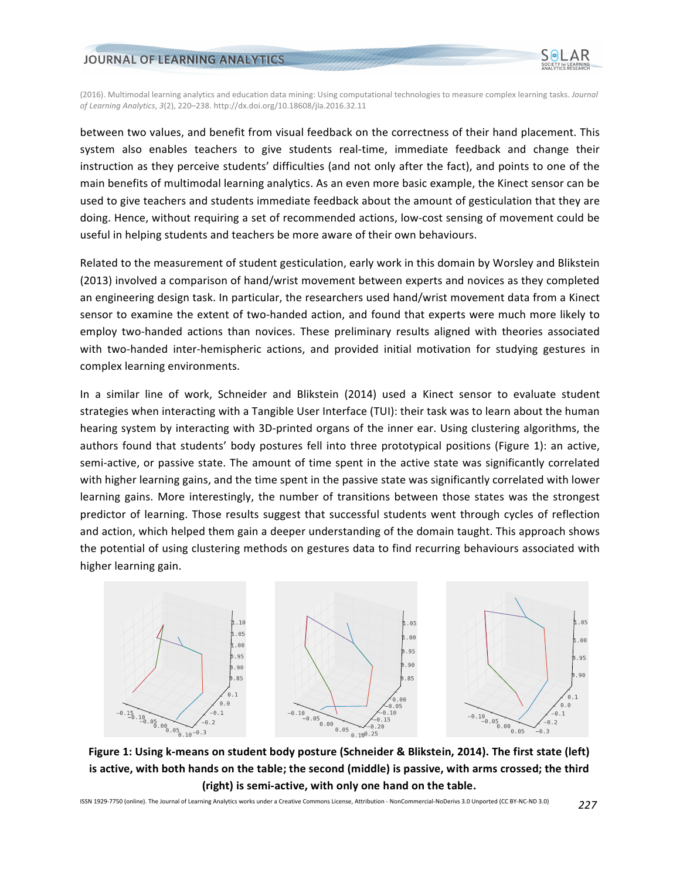

(2016). Multimodal learning analytics and education data mining: Using computational technologies to measure complex learning tasks. *Journal of Learning Analytics*, *3*(2), 220–238. http://dx.doi.org/10.18608/jla.2016.32.11

between two values, and benefit from visual feedback on the correctness of their hand placement. This system also enables teachers to give students real-time, immediate feedback and change their instruction as they perceive students' difficulties (and not only after the fact), and points to one of the main benefits of multimodal learning analytics. As an even more basic example, the Kinect sensor can be used to give teachers and students immediate feedback about the amount of gesticulation that they are doing. Hence, without requiring a set of recommended actions, low-cost sensing of movement could be useful in helping students and teachers be more aware of their own behaviours.

Related to the measurement of student gesticulation, early work in this domain by Worsley and Blikstein (2013) involved a comparison of hand/wrist movement between experts and novices as they completed an engineering design task. In particular, the researchers used hand/wrist movement data from a Kinect sensor to examine the extent of two-handed action, and found that experts were much more likely to employ two-handed actions than novices. These preliminary results aligned with theories associated with two-handed inter-hemispheric actions, and provided initial motivation for studying gestures in complex learning environments.

In a similar line of work, Schneider and Blikstein (2014) used a Kinect sensor to evaluate student strategies when interacting with a Tangible User Interface (TUI): their task was to learn about the human hearing system by interacting with 3D-printed organs of the inner ear. Using clustering algorithms, the authors found that students' body postures fell into three prototypical positions (Figure 1): an active, semi-active, or passive state. The amount of time spent in the active state was significantly correlated with higher learning gains, and the time spent in the passive state was significantly correlated with lower learning gains. More interestingly, the number of transitions between those states was the strongest predictor of learning. Those results suggest that successful students went through cycles of reflection and action, which helped them gain a deeper understanding of the domain taught. This approach shows the potential of using clustering methods on gestures data to find recurring behaviours associated with higher learning gain.



**Figure 1: Using k-means on student body posture (Schneider & Blikstein, 2014). The first state (left)** is active, with both hands on the table; the second (middle) is passive, with arms crossed; the third (right) is semi-active, with only one hand on the table.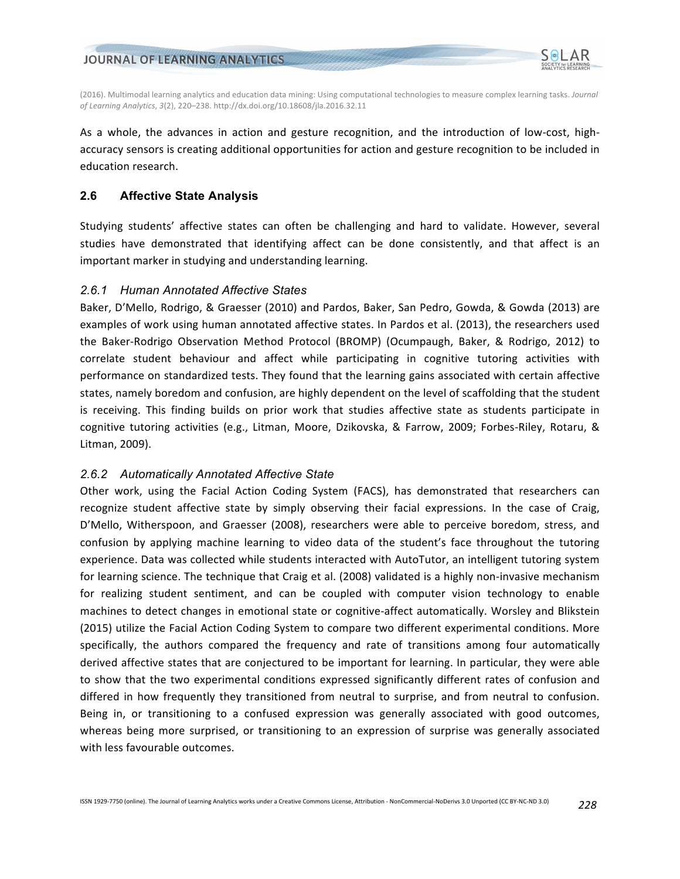



(2016). Multimodal learning analytics and education data mining: Using computational technologies to measure complex learning tasks. *Journal of Learning Analytics*, *3*(2), 220–238. http://dx.doi.org/10.18608/jla.2016.32.11

As a whole, the advances in action and gesture recognition, and the introduction of low-cost, highaccuracy sensors is creating additional opportunities for action and gesture recognition to be included in education research.

## **2.6 Affective State Analysis**

Studying students' affective states can often be challenging and hard to validate. However, several studies have demonstrated that identifying affect can be done consistently, and that affect is an important marker in studying and understanding learning.

#### *2.6.1 Human Annotated Affective States*

Baker, D'Mello, Rodrigo, & Graesser (2010) and Pardos, Baker, San Pedro, Gowda, & Gowda (2013) are examples of work using human annotated affective states. In Pardos et al. (2013), the researchers used the Baker-Rodrigo Observation Method Protocol (BROMP) (Ocumpaugh, Baker, & Rodrigo, 2012) to correlate student behaviour and affect while participating in cognitive tutoring activities with performance on standardized tests. They found that the learning gains associated with certain affective states, namely boredom and confusion, are highly dependent on the level of scaffolding that the student is receiving. This finding builds on prior work that studies affective state as students participate in cognitive tutoring activities (e.g., Litman, Moore, Dzikovska, & Farrow, 2009; Forbes-Riley, Rotaru, & Litman, 2009).

#### *2.6.2 Automatically Annotated Affective State*

Other work, using the Facial Action Coding System (FACS), has demonstrated that researchers can recognize student affective state by simply observing their facial expressions. In the case of Craig, D'Mello, Witherspoon, and Graesser (2008), researchers were able to perceive boredom, stress, and confusion by applying machine learning to video data of the student's face throughout the tutoring experience. Data was collected while students interacted with AutoTutor, an intelligent tutoring system for learning science. The technique that Craig et al. (2008) validated is a highly non-invasive mechanism for realizing student sentiment, and can be coupled with computer vision technology to enable machines to detect changes in emotional state or cognitive-affect automatically. Worsley and Blikstein (2015) utilize the Facial Action Coding System to compare two different experimental conditions. More specifically, the authors compared the frequency and rate of transitions among four automatically derived affective states that are conjectured to be important for learning. In particular, they were able to show that the two experimental conditions expressed significantly different rates of confusion and differed in how frequently they transitioned from neutral to surprise, and from neutral to confusion. Being in, or transitioning to a confused expression was generally associated with good outcomes, whereas being more surprised, or transitioning to an expression of surprise was generally associated with less favourable outcomes.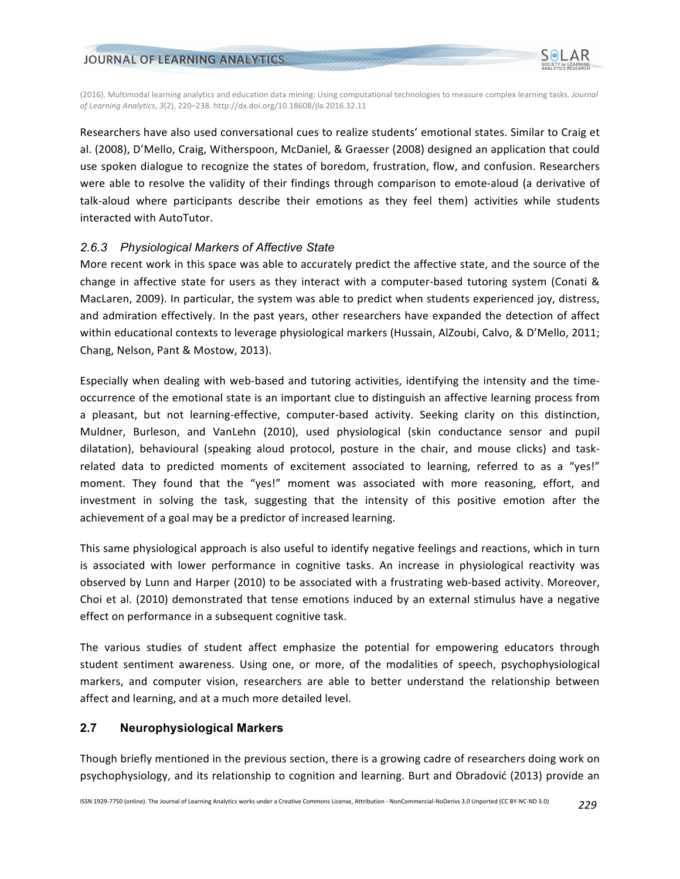

(2016). Multimodal learning analytics and education data mining: Using computational technologies to measure complex learning tasks. *Journal of Learning Analytics*, *3*(2), 220–238. http://dx.doi.org/10.18608/jla.2016.32.11

Researchers have also used conversational cues to realize students' emotional states. Similar to Craig et al. (2008), D'Mello, Craig, Witherspoon, McDaniel, & Graesser (2008) designed an application that could use spoken dialogue to recognize the states of boredom, frustration, flow, and confusion. Researchers were able to resolve the validity of their findings through comparison to emote-aloud (a derivative of talk-aloud where participants describe their emotions as they feel them) activities while students interacted with AutoTutor.

## *2.6.3 Physiological Markers of Affective State*

More recent work in this space was able to accurately predict the affective state, and the source of the change in affective state for users as they interact with a computer-based tutoring system (Conati & MacLaren, 2009). In particular, the system was able to predict when students experienced joy, distress, and admiration effectively. In the past years, other researchers have expanded the detection of affect within educational contexts to leverage physiological markers (Hussain, AlZoubi, Calvo, & D'Mello, 2011; Chang, Nelson, Pant & Mostow, 2013).

Especially when dealing with web-based and tutoring activities, identifying the intensity and the timeoccurrence of the emotional state is an important clue to distinguish an affective learning process from a pleasant, but not learning-effective, computer-based activity. Seeking clarity on this distinction, Muldner, Burleson, and VanLehn (2010), used physiological (skin conductance sensor and pupil dilatation), behavioural (speaking aloud protocol, posture in the chair, and mouse clicks) and taskrelated data to predicted moments of excitement associated to learning, referred to as a "yes!" moment. They found that the "yes!" moment was associated with more reasoning, effort, and investment in solving the task, suggesting that the intensity of this positive emotion after the achievement of a goal may be a predictor of increased learning.

This same physiological approach is also useful to identify negative feelings and reactions, which in turn is associated with lower performance in cognitive tasks. An increase in physiological reactivity was observed by Lunn and Harper (2010) to be associated with a frustrating web-based activity. Moreover, Choi et al. (2010) demonstrated that tense emotions induced by an external stimulus have a negative effect on performance in a subsequent cognitive task.

The various studies of student affect emphasize the potential for empowering educators through student sentiment awareness. Using one, or more, of the modalities of speech, psychophysiological markers, and computer vision, researchers are able to better understand the relationship between affect and learning, and at a much more detailed level.

## **2.7 Neurophysiological Markers**

Though briefly mentioned in the previous section, there is a growing cadre of researchers doing work on psychophysiology, and its relationship to cognition and learning. Burt and Obradović (2013) provide an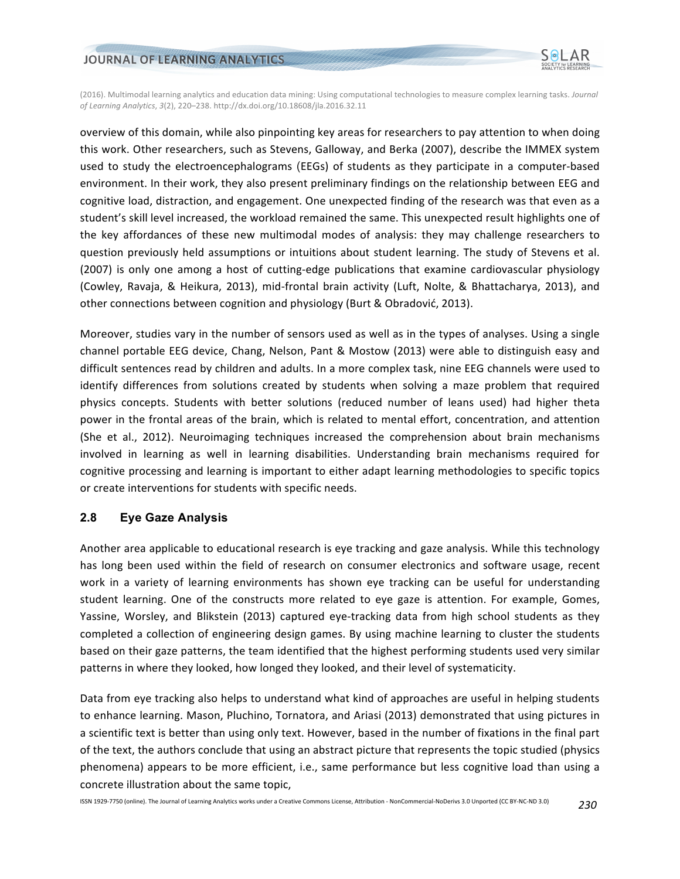

(2016). Multimodal learning analytics and education data mining: Using computational technologies to measure complex learning tasks. *Journal of Learning Analytics*, *3*(2), 220–238. http://dx.doi.org/10.18608/jla.2016.32.11

overview of this domain, while also pinpointing key areas for researchers to pay attention to when doing this work. Other researchers, such as Stevens, Galloway, and Berka (2007), describe the IMMEX system used to study the electroencephalograms (EEGs) of students as they participate in a computer-based environment. In their work, they also present preliminary findings on the relationship between EEG and cognitive load, distraction, and engagement. One unexpected finding of the research was that even as a student's skill level increased, the workload remained the same. This unexpected result highlights one of the key affordances of these new multimodal modes of analysis: they may challenge researchers to question previously held assumptions or intuitions about student learning. The study of Stevens et al. (2007) is only one among a host of cutting-edge publications that examine cardiovascular physiology (Cowley, Ravaja, & Heikura, 2013), mid-frontal brain activity (Luft, Nolte, & Bhattacharya, 2013), and other connections between cognition and physiology (Burt & Obradović, 2013).

Moreover, studies vary in the number of sensors used as well as in the types of analyses. Using a single channel portable EEG device, Chang, Nelson, Pant & Mostow (2013) were able to distinguish easy and difficult sentences read by children and adults. In a more complex task, nine EEG channels were used to identify differences from solutions created by students when solving a maze problem that required physics concepts. Students with better solutions (reduced number of leans used) had higher theta power in the frontal areas of the brain, which is related to mental effort, concentration, and attention (She et al., 2012). Neuroimaging techniques increased the comprehension about brain mechanisms involved in learning as well in learning disabilities. Understanding brain mechanisms required for cognitive processing and learning is important to either adapt learning methodologies to specific topics or create interventions for students with specific needs.

#### **2.8 Eye Gaze Analysis**

Another area applicable to educational research is eye tracking and gaze analysis. While this technology has long been used within the field of research on consumer electronics and software usage, recent work in a variety of learning environments has shown eye tracking can be useful for understanding student learning. One of the constructs more related to eye gaze is attention. For example, Gomes, Yassine, Worsley, and Blikstein (2013) captured eye-tracking data from high school students as they completed a collection of engineering design games. By using machine learning to cluster the students based on their gaze patterns, the team identified that the highest performing students used very similar patterns in where they looked, how longed they looked, and their level of systematicity.

Data from eye tracking also helps to understand what kind of approaches are useful in helping students to enhance learning. Mason, Pluchino, Tornatora, and Ariasi (2013) demonstrated that using pictures in a scientific text is better than using only text. However, based in the number of fixations in the final part of the text, the authors conclude that using an abstract picture that represents the topic studied (physics phenomena) appears to be more efficient, i.e., same performance but less cognitive load than using a concrete illustration about the same topic,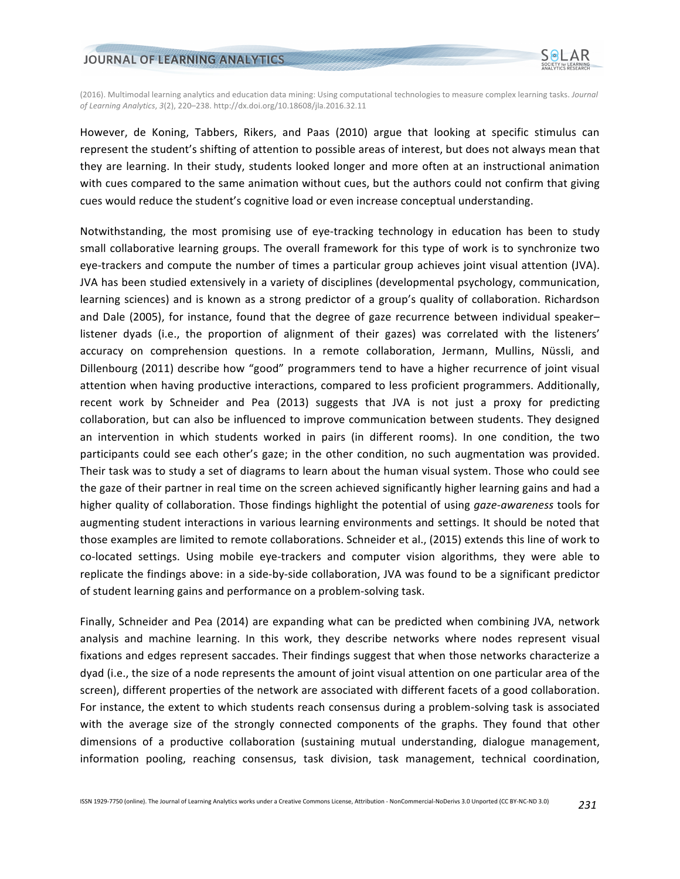

(2016). Multimodal learning analytics and education data mining: Using computational technologies to measure complex learning tasks. *Journal of Learning Analytics*, *3*(2), 220–238. http://dx.doi.org/10.18608/jla.2016.32.11

However, de Koning, Tabbers, Rikers, and Paas (2010) argue that looking at specific stimulus can represent the student's shifting of attention to possible areas of interest, but does not always mean that they are learning. In their study, students looked longer and more often at an instructional animation with cues compared to the same animation without cues, but the authors could not confirm that giving cues would reduce the student's cognitive load or even increase conceptual understanding.

Notwithstanding, the most promising use of eye-tracking technology in education has been to study small collaborative learning groups. The overall framework for this type of work is to synchronize two eye-trackers and compute the number of times a particular group achieves joint visual attention (JVA). JVA has been studied extensively in a variety of disciplines (developmental psychology, communication, learning sciences) and is known as a strong predictor of a group's quality of collaboration. Richardson and Dale (2005), for instance, found that the degree of gaze recurrence between individual speakerlistener dyads (i.e., the proportion of alignment of their gazes) was correlated with the listeners' accuracy on comprehension questions. In a remote collaboration, Jermann, Mullins, Nüssli, and Dillenbourg (2011) describe how "good" programmers tend to have a higher recurrence of joint visual attention when having productive interactions, compared to less proficient programmers. Additionally, recent work by Schneider and Pea (2013) suggests that JVA is not just a proxy for predicting collaboration, but can also be influenced to improve communication between students. They designed an intervention in which students worked in pairs (in different rooms). In one condition, the two participants could see each other's gaze; in the other condition, no such augmentation was provided. Their task was to study a set of diagrams to learn about the human visual system. Those who could see the gaze of their partner in real time on the screen achieved significantly higher learning gains and had a higher quality of collaboration. Those findings highlight the potential of using *gaze-awareness* tools for augmenting student interactions in various learning environments and settings. It should be noted that those examples are limited to remote collaborations. Schneider et al., (2015) extends this line of work to co-located settings. Using mobile eye-trackers and computer vision algorithms, they were able to replicate the findings above: in a side-by-side collaboration, JVA was found to be a significant predictor of student learning gains and performance on a problem-solving task.

Finally, Schneider and Pea (2014) are expanding what can be predicted when combining JVA, network analysis and machine learning. In this work, they describe networks where nodes represent visual fixations and edges represent saccades. Their findings suggest that when those networks characterize a dyad (i.e., the size of a node represents the amount of joint visual attention on one particular area of the screen), different properties of the network are associated with different facets of a good collaboration. For instance, the extent to which students reach consensus during a problem-solving task is associated with the average size of the strongly connected components of the graphs. They found that other dimensions of a productive collaboration (sustaining mutual understanding, dialogue management, information pooling, reaching consensus, task division, task management, technical coordination,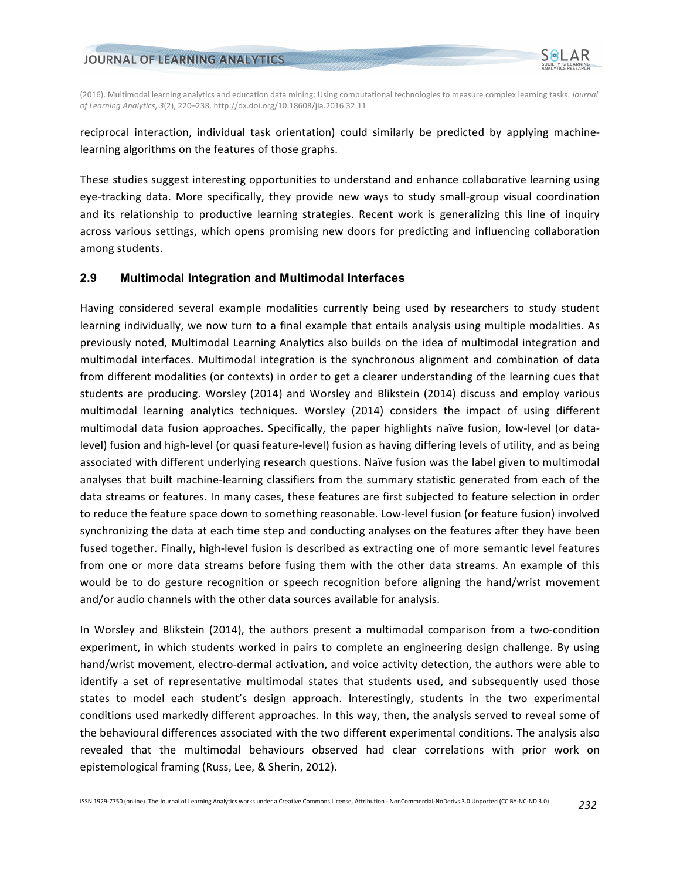(2016). Multimodal learning analytics and education data mining: Using computational technologies to measure complex learning tasks. *Journal of Learning Analytics*, *3*(2), 220–238. http://dx.doi.org/10.18608/jla.2016.32.11

reciprocal interaction, individual task orientation) could similarly be predicted by applying machinelearning algorithms on the features of those graphs.

These studies suggest interesting opportunities to understand and enhance collaborative learning using eye-tracking data. More specifically, they provide new ways to study small-group visual coordination and its relationship to productive learning strategies. Recent work is generalizing this line of inquiry across various settings, which opens promising new doors for predicting and influencing collaboration among students.

#### **2.9 Multimodal Integration and Multimodal Interfaces**

Having considered several example modalities currently being used by researchers to study student learning individually, we now turn to a final example that entails analysis using multiple modalities. As previously noted, Multimodal Learning Analytics also builds on the idea of multimodal integration and multimodal interfaces. Multimodal integration is the synchronous alignment and combination of data from different modalities (or contexts) in order to get a clearer understanding of the learning cues that students are producing. Worsley (2014) and Worsley and Blikstein (2014) discuss and employ various multimodal learning analytics techniques. Worsley (2014) considers the impact of using different multimodal data fusion approaches. Specifically, the paper highlights naïve fusion, low-level (or datalevel) fusion and high-level (or quasi feature-level) fusion as having differing levels of utility, and as being associated with different underlying research questions. Naïve fusion was the label given to multimodal analyses that built machine-learning classifiers from the summary statistic generated from each of the data streams or features. In many cases, these features are first subjected to feature selection in order to reduce the feature space down to something reasonable. Low-level fusion (or feature fusion) involved synchronizing the data at each time step and conducting analyses on the features after they have been fused together. Finally, high-level fusion is described as extracting one of more semantic level features from one or more data streams before fusing them with the other data streams. An example of this would be to do gesture recognition or speech recognition before aligning the hand/wrist movement and/or audio channels with the other data sources available for analysis.

In Worsley and Blikstein (2014), the authors present a multimodal comparison from a two-condition experiment, in which students worked in pairs to complete an engineering design challenge. By using hand/wrist movement, electro-dermal activation, and voice activity detection, the authors were able to identify a set of representative multimodal states that students used, and subsequently used those states to model each student's design approach. Interestingly, students in the two experimental conditions used markedly different approaches. In this way, then, the analysis served to reveal some of the behavioural differences associated with the two different experimental conditions. The analysis also revealed that the multimodal behaviours observed had clear correlations with prior work on epistemological framing (Russ, Lee, & Sherin, 2012).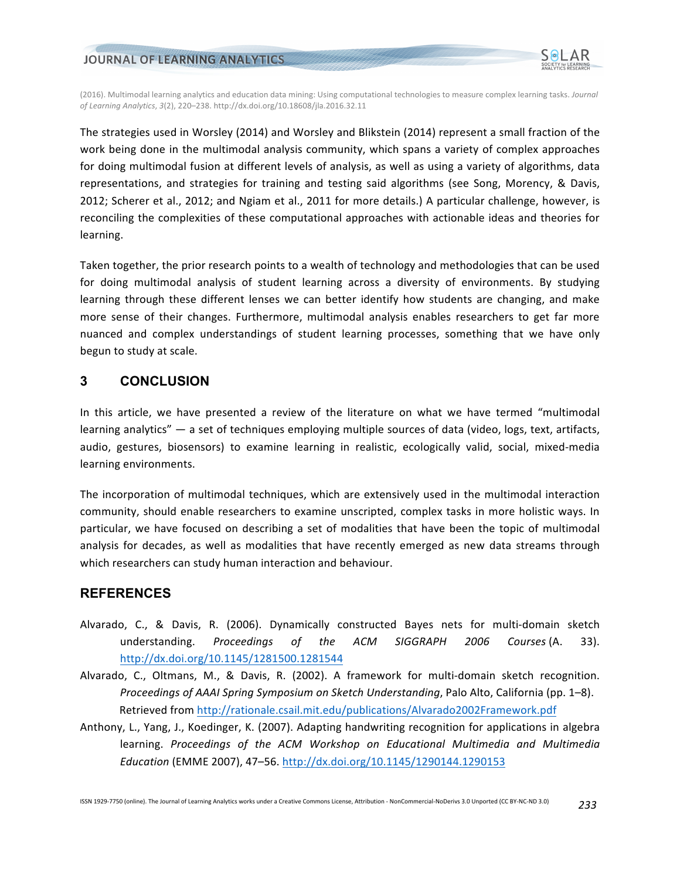

(2016). Multimodal learning analytics and education data mining: Using computational technologies to measure complex learning tasks. *Journal of Learning Analytics*, *3*(2), 220–238. http://dx.doi.org/10.18608/jla.2016.32.11

The strategies used in Worsley (2014) and Worsley and Blikstein (2014) represent a small fraction of the work being done in the multimodal analysis community, which spans a variety of complex approaches for doing multimodal fusion at different levels of analysis, as well as using a variety of algorithms, data representations, and strategies for training and testing said algorithms (see Song, Morency, & Davis, 2012; Scherer et al., 2012; and Ngiam et al., 2011 for more details.) A particular challenge, however, is reconciling the complexities of these computational approaches with actionable ideas and theories for learning.

Taken together, the prior research points to a wealth of technology and methodologies that can be used for doing multimodal analysis of student learning across a diversity of environments. By studying learning through these different lenses we can better identify how students are changing, and make more sense of their changes. Furthermore, multimodal analysis enables researchers to get far more nuanced and complex understandings of student learning processes, something that we have only begun to study at scale.

## **3 CONCLUSION**

In this article, we have presented a review of the literature on what we have termed "multimodal learning analytics"  $-$  a set of techniques employing multiple sources of data (video, logs, text, artifacts, audio, gestures, biosensors) to examine learning in realistic, ecologically valid, social, mixed-media learning environments.

The incorporation of multimodal techniques, which are extensively used in the multimodal interaction community, should enable researchers to examine unscripted, complex tasks in more holistic ways. In particular, we have focused on describing a set of modalities that have been the topic of multimodal analysis for decades, as well as modalities that have recently emerged as new data streams through which researchers can study human interaction and behaviour.

## **REFERENCES**

- Alvarado, C., & Davis, R. (2006). Dynamically constructed Bayes nets for multi-domain sketch understanding. *Proceedings of the ACM SIGGRAPH 2006 Courses* (A. 33). http://dx.doi.org/10.1145/1281500.1281544
- Alvarado, C., Oltmans, M., & Davis, R. (2002). A framework for multi-domain sketch recognition. *Proceedings of AAAI Spring Symposium on Sketch Understanding*, Palo Alto, California (pp. 1–8). Retrieved from http://rationale.csail.mit.edu/publications/Alvarado2002Framework.pdf
- Anthony, L., Yang, J., Koedinger, K. (2007). Adapting handwriting recognition for applications in algebra learning. Proceedings of the ACM Workshop on Educational Multimedia and Multimedia *Education* (EMME 2007), 47–56. http://dx.doi.org/10.1145/1290144.1290153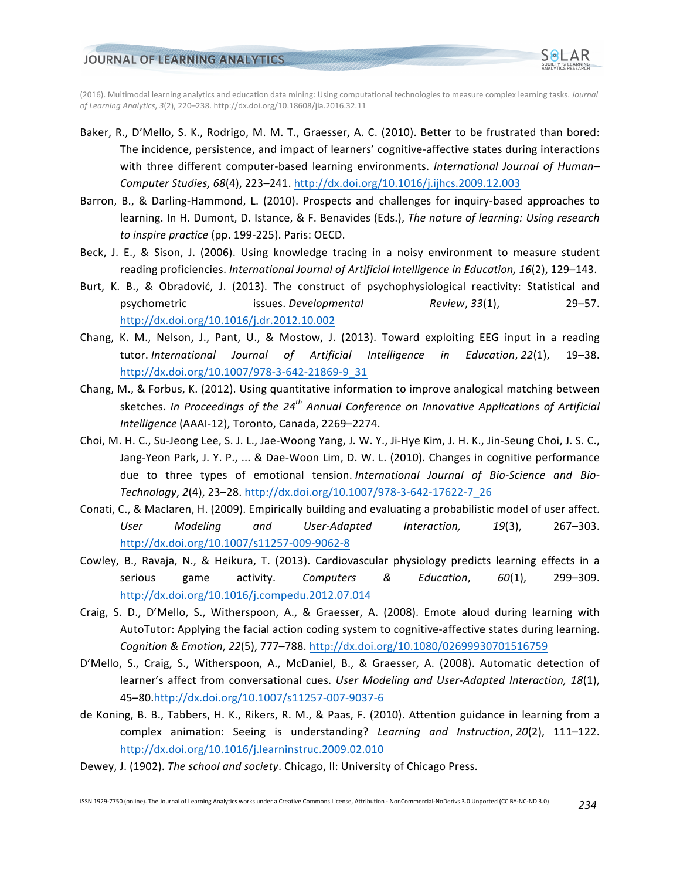

- Baker, R., D'Mello, S. K., Rodrigo, M. M. T., Graesser, A. C. (2010). Better to be frustrated than bored: The incidence, persistence, and impact of learners' cognitive-affective states during interactions with three different computer-based learning environments. *International Journal of Human*-*Computer Studies, 68*(4), 223–241. http://dx.doi.org/10.1016/j.ijhcs.2009.12.003
- Barron, B., & Darling-Hammond, L. (2010). Prospects and challenges for inquiry-based approaches to learning. In H. Dumont, D. Istance, & F. Benavides (Eds.), *The nature of learning: Using research* to inspire practice (pp. 199-225). Paris: OECD.
- Beck, J. E., & Sison, J. (2006). Using knowledge tracing in a noisy environment to measure student reading proficiencies. International Journal of Artificial Intelligence in Education, 16(2), 129-143.
- Burt, K. B., & Obradović, J. (2013). The construct of psychophysiological reactivity: Statistical and psychometric issues. *Developmental Review*, *33*(1), 29–57. http://dx.doi.org/10.1016/j.dr.2012.10.002
- Chang, K. M., Nelson, J., Pant, U., & Mostow, J. (2013). Toward exploiting EEG input in a reading tutor. *International Journal of Artificial Intelligence in Education*, *22*(1), 19–38. http://dx.doi.org/10.1007/978-3-642-21869-9\_31
- Chang, M., & Forbus, K. (2012). Using quantitative information to improve analogical matching between sketches. In Proceedings of the 24<sup>th</sup> Annual Conference on Innovative Applications of Artificial Intelligence (AAAI-12), Toronto, Canada, 2269-2274.
- Choi, M. H. C., Su-Jeong Lee, S. J. L., Jae-Woong Yang, J. W. Y., Ji-Hye Kim, J. H. K., Jin-Seung Choi, J. S. C., Jang-Yeon Park, J. Y. P., ... & Dae-Woon Lim, D. W. L. (2010). Changes in cognitive performance due to three types of emotional tension. International Journal of Bio-Science and Bio-*Technology*, *2*(4), 23–28. http://dx.doi.org/10.1007/978-3-642-17622-7\_26
- Conati, C., & Maclaren, H. (2009). Empirically building and evaluating a probabilistic model of user affect. *User Modeling and User-Adapted Interaction, 19*(3), 267–303. http://dx.doi.org/10.1007/s11257-009-9062-8
- Cowley, B., Ravaja, N., & Heikura, T. (2013). Cardiovascular physiology predicts learning effects in a serious game activity. *Computers* & Education, 60(1), 299-309. http://dx.doi.org/10.1016/j.compedu.2012.07.014
- Craig, S. D., D'Mello, S., Witherspoon, A., & Graesser, A. (2008). Emote aloud during learning with AutoTutor: Applying the facial action coding system to cognitive-affective states during learning. *Cognition & Emotion*, *22*(5), 777–788. http://dx.doi.org/10.1080/02699930701516759
- D'Mello, S., Craig, S., Witherspoon, A., McDaniel, B., & Graesser, A. (2008). Automatic detection of learner's affect from conversational cues. User Modeling and User-Adapted Interaction, 18(1), 45–80.http://dx.doi.org/10.1007/s11257-007-9037-6
- de Koning, B. B., Tabbers, H. K., Rikers, R. M., & Paas, F. (2010). Attention guidance in learning from a complex animation: Seeing is understanding? *Learning and Instruction*, *20*(2), 111–122. http://dx.doi.org/10.1016/j.learninstruc.2009.02.010
- Dewey, J. (1902). The school and society. Chicago, II: University of Chicago Press.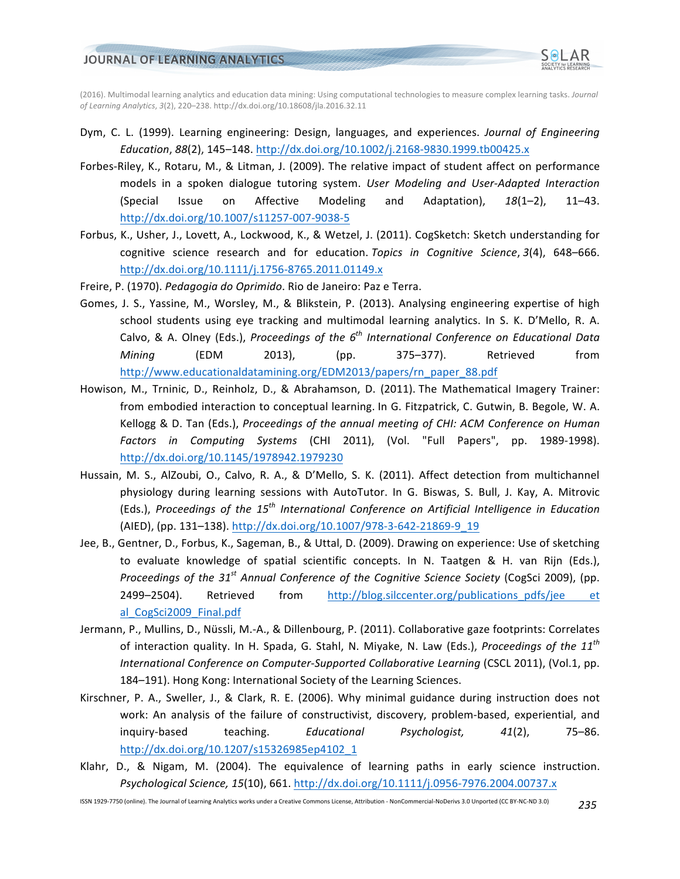

- Dym, C. L. (1999). Learning engineering: Design, languages, and experiences. *Journal of Engineering Education, 88*(2), 145–148. http://dx.doi.org/10.1002/j.2168-9830.1999.tb00425.x
- Forbes-Riley, K., Rotaru, M., & Litman, J. (2009). The relative impact of student affect on performance models in a spoken dialogue tutoring system. *User Modeling and User-Adapted Interaction* (Special Issue on Affective Modeling and Adaptation), *18*(1–2), 11–43. http://dx.doi.org/10.1007/s11257-007-9038-5
- Forbus, K., Usher, J., Lovett, A., Lockwood, K., & Wetzel, J. (2011). CogSketch: Sketch understanding for cognitive science research and for education. *Topics in Cognitive Science*, 3(4), 648–666. http://dx.doi.org/10.1111/j.1756-8765.2011.01149.x
- Freire, P. (1970). *Pedagogia do Oprimido*. Rio de Janeiro: Paz e Terra.
- Gomes, J. S., Yassine, M., Worsley, M., & Blikstein, P. (2013). Analysing engineering expertise of high school students using eye tracking and multimodal learning analytics. In S. K. D'Mello, R. A. Calvo, & A. Olney (Eds.), *Proceedings of the* 6<sup>th</sup> International Conference on Educational Data *Mining* (EDM 2013), (pp. 375–377). Retrieved from http://www.educationaldatamining.org/EDM2013/papers/rn\_paper\_88.pdf
- Howison, M., Trninic, D., Reinholz, D., & Abrahamson, D. (2011). The Mathematical Imagery Trainer: from embodied interaction to conceptual learning. In G. Fitzpatrick, C. Gutwin, B. Begole, W. A. Kellogg & D. Tan (Eds.), *Proceedings of the annual meeting of CHI: ACM Conference on Human Factors in Computing Systems* (CHI 2011), (Vol. "Full Papers", pp. 1989-1998). http://dx.doi.org/10.1145/1978942.1979230
- Hussain, M. S., AlZoubi, O., Calvo, R. A., & D'Mello, S. K. (2011). Affect detection from multichannel physiology during learning sessions with AutoTutor. In G. Biswas, S. Bull, J. Kay, A. Mitrovic (Eds.), *Proceedings of the 15<sup>th</sup> International Conference on Artificial Intelligence in Education* (AIED), (pp. 131-138). http://dx.doi.org/10.1007/978-3-642-21869-9\_19
- Jee, B., Gentner, D., Forbus, K., Sageman, B., & Uttal, D. (2009). Drawing on experience: Use of sketching to evaluate knowledge of spatial scientific concepts. In N. Taatgen & H. van Rijn (Eds.), *Proceedings of the 31<sup>st</sup> Annual Conference of the Cognitive Science Society* (CogSci 2009), (pp. 2499-2504). Retrieved from http://blog.silccenter.org/publications\_pdfs/jee et al CogSci2009 Final.pdf
- Jermann, P., Mullins, D., Nüssli, M.-A., & Dillenbourg, P. (2011). Collaborative gaze footprints: Correlates of interaction quality. In H. Spada, G. Stahl, N. Miyake, N. Law (Eds.), *Proceedings of the* 11<sup>th</sup> International Conference on Computer-Supported Collaborative Learning (CSCL 2011), (Vol.1, pp. 184-191). Hong Kong: International Society of the Learning Sciences.
- Kirschner, P. A., Sweller, J., & Clark, R. E. (2006). Why minimal guidance during instruction does not work: An analysis of the failure of constructivist, discovery, problem-based, experiential, and inquiry-based teaching. *Educational Psychologist, 41*(2), 75–86. http://dx.doi.org/10.1207/s15326985ep4102\_1
- Klahr, D., & Nigam, M. (2004). The equivalence of learning paths in early science instruction. *Psychological Science, 15*(10), 661. http://dx.doi.org/10.1111/j.0956-7976.2004.00737.x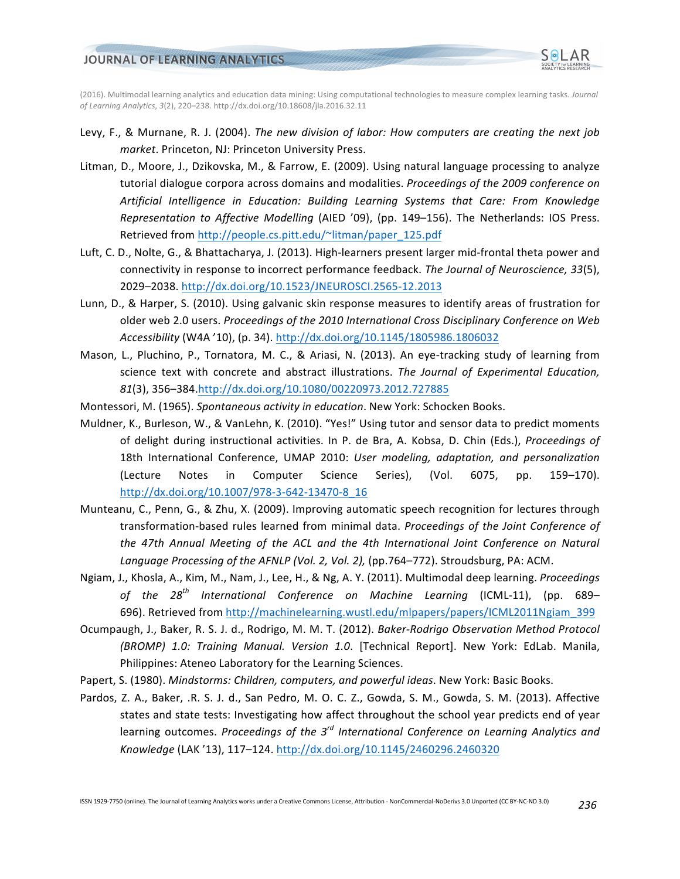

- Levy, F., & Murnane, R. J. (2004). *The new division of labor: How computers are creating the next job* market. Princeton, NJ: Princeton University Press.
- Litman, D., Moore, J., Dzikovska, M., & Farrow, E. (2009). Using natural language processing to analyze tutorial dialogue corpora across domains and modalities. *Proceedings of the 2009 conference on* Artificial Intelligence in Education: Building Learning Systems that Care: From Knowledge *Representation to Affective Modelling* (AIED '09), (pp. 149–156). The Netherlands: IOS Press. Retrieved from http://people.cs.pitt.edu/~litman/paper\_125.pdf
- Luft, C. D., Nolte, G., & Bhattacharya, J. (2013). High-learners present larger mid-frontal theta power and connectivity in response to incorrect performance feedback. The Journal of Neuroscience, 33(5), 2029-2038. http://dx.doi.org/10.1523/JNEUROSCI.2565-12.2013
- Lunn, D., & Harper, S. (2010). Using galvanic skin response measures to identify areas of frustration for older web 2.0 users. Proceedings of the 2010 International Cross Disciplinary Conference on Web *Accessibility* (W4A '10), (p. 34). http://dx.doi.org/10.1145/1805986.1806032
- Mason, L., Pluchino, P., Tornatora, M. C., & Ariasi, N. (2013). An eye-tracking study of learning from science text with concrete and abstract illustrations. The Journal of Experimental Education, *81*(3), 356–384.http://dx.doi.org/10.1080/00220973.2012.727885
- Montessori, M. (1965). *Spontaneous activity in education*. New York: Schocken Books.
- Muldner, K., Burleson, W., & VanLehn, K. (2010). "Yes!" Using tutor and sensor data to predict moments of delight during instructional activities. In P. de Bra, A. Kobsa, D. Chin (Eds.), *Proceedings of* 18th International Conference, UMAP 2010: User modeling, adaptation, and personalization (Lecture Notes in Computer Science Series), (Vol. 6075, pp. 159–170). http://dx.doi.org/10.1007/978-3-642-13470-8\_16
- Munteanu, C., Penn, G., & Zhu, X. (2009). Improving automatic speech recognition for lectures through transformation-based rules learned from minimal data. *Proceedings of the Joint Conference of* the 47th Annual Meeting of the ACL and the 4th International Joint Conference on Natural Language Processing of the AFNLP (Vol. 2, Vol. 2), (pp.764–772). Stroudsburg, PA: ACM.
- Ngiam, J., Khosla, A., Kim, M., Nam, J., Lee, H., & Ng, A. Y. (2011). Multimodal deep learning. *Proceedings of the 28th International Conference on Machine Learning* (ICML-11), (pp. 689– 696). Retrieved from http://machinelearning.wustl.edu/mlpapers/papers/ICML2011Ngiam\_399
- Ocumpaugh, J., Baker, R. S. J. d., Rodrigo, M. M. T. (2012). *Baker-Rodrigo Observation Method Protocol (BROMP)* 1.0: Training Manual. Version 1.0. [Technical Report]. New York: EdLab. Manila, Philippines: Ateneo Laboratory for the Learning Sciences.
- Papert, S. (1980). *Mindstorms: Children, computers, and powerful ideas*. New York: Basic Books.
- Pardos, Z. A., Baker, .R. S. J. d., San Pedro, M. O. C. Z., Gowda, S. M., Gowda, S. M. (2013). Affective states and state tests: Investigating how affect throughout the school year predicts end of year learning outcomes. Proceedings of the 3<sup>rd</sup> International Conference on Learning Analytics and *Knowledge* (LAK '13), 117–124. http://dx.doi.org/10.1145/2460296.2460320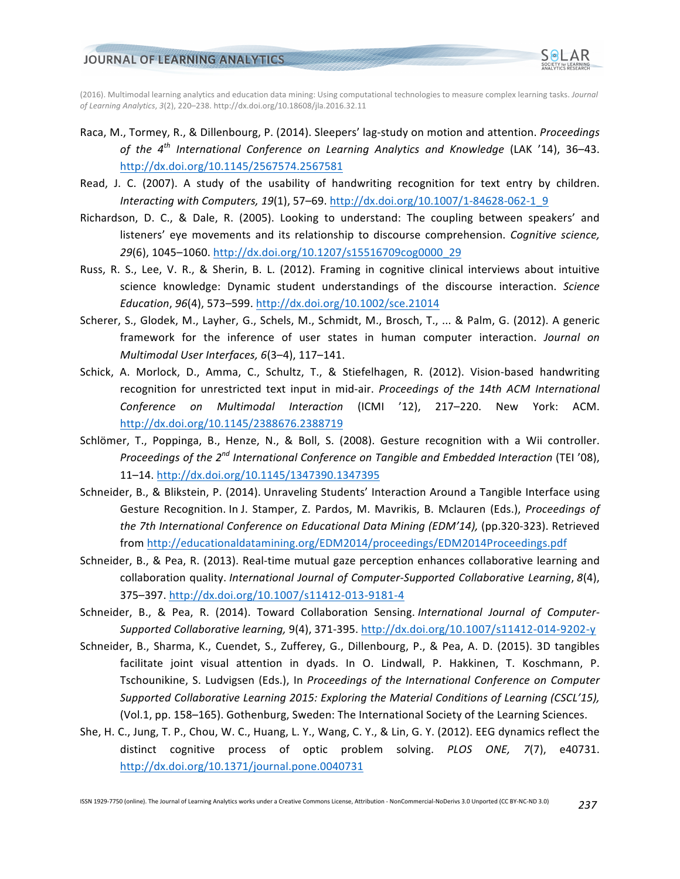

- Raca, M., Tormey, R., & Dillenbourg, P. (2014). Sleepers' lag-study on motion and attention. *Proceedings* of the 4<sup>th</sup> International Conference on Learning Analytics and Knowledge (LAK '14), 36–43. http://dx.doi.org/10.1145/2567574.2567581
- Read, J. C. (2007). A study of the usability of handwriting recognition for text entry by children. *Interacting with Computers, 19*(1), 57–69. http://dx.doi.org/10.1007/1-84628-062-1\_9
- Richardson, D. C., & Dale, R. (2005). Looking to understand: The coupling between speakers' and listeners' eye movements and its relationship to discourse comprehension. *Cognitive science*, 29(6), 1045-1060. http://dx.doi.org/10.1207/s15516709cog0000\_29
- Russ, R. S., Lee, V. R., & Sherin, B. L. (2012). Framing in cognitive clinical interviews about intuitive science knowledge: Dynamic student understandings of the discourse interaction. Science *Education*, 96(4), 573-599. http://dx.doi.org/10.1002/sce.21014
- Scherer, S., Glodek, M., Layher, G., Schels, M., Schmidt, M., Brosch, T., ... & Palm, G. (2012). A generic framework for the inference of user states in human computer interaction. *Journal on Multimodal User Interfaces, 6*(3-4), 117-141.
- Schick, A. Morlock, D., Amma, C., Schultz, T., & Stiefelhagen, R. (2012). Vision-based handwriting recognition for unrestricted text input in mid-air. *Proceedings of the 14th ACM International Conference on Multimodal Interaction* (ICMI '12), 217–220. New York: ACM. http://dx.doi.org/10.1145/2388676.2388719
- Schlömer, T., Poppinga, B., Henze, N., & Boll, S. (2008). Gesture recognition with a Wii controller. *Proceedings of the 2<sup>nd</sup> International Conference on Tangible and Embedded Interaction* (TEI '08), 11–14. http://dx.doi.org/10.1145/1347390.1347395
- Schneider, B., & Blikstein, P. (2014). Unraveling Students' Interaction Around a Tangible Interface using Gesture Recognition. In J. Stamper, Z. Pardos, M. Mavrikis, B. Mclauren (Eds.), Proceedings of *the 7th International Conference on Educational Data Mining (EDM'14),* (pp.320-323). Retrieved from http://educationaldatamining.org/EDM2014/proceedings/EDM2014Proceedings.pdf
- Schneider, B., & Pea, R. (2013). Real-time mutual gaze perception enhances collaborative learning and collaboration quality. *International Journal of Computer-Supported Collaborative Learning, 8*(4), 375–397. http://dx.doi.org/10.1007/s11412-013-9181-4
- Schneider, B., & Pea, R. (2014). Toward Collaboration Sensing. *International Journal of Computer-Supported Collaborative learning,* 9(4), 371-395. http://dx.doi.org/10.1007/s11412-014-9202-y
- Schneider, B., Sharma, K., Cuendet, S., Zufferey, G., Dillenbourg, P., & Pea, A. D. (2015). 3D tangibles facilitate joint visual attention in dyads. In O. Lindwall, P. Hakkinen, T. Koschmann, P. Tschounikine, S. Ludvigsen (Eds.), In *Proceedings of the International Conference on Computer Supported Collaborative Learning 2015: Exploring the Material Conditions of Learning (CSCL'15),* (Vol.1, pp. 158–165). Gothenburg, Sweden: The International Society of the Learning Sciences.
- She, H. C., Jung, T. P., Chou, W. C., Huang, L. Y., Wang, C. Y., & Lin, G. Y. (2012). EEG dynamics reflect the distinct cognitive process of optic problem solving. *PLOS ONE, 7*(7), e40731. http://dx.doi.org/10.1371/journal.pone.0040731